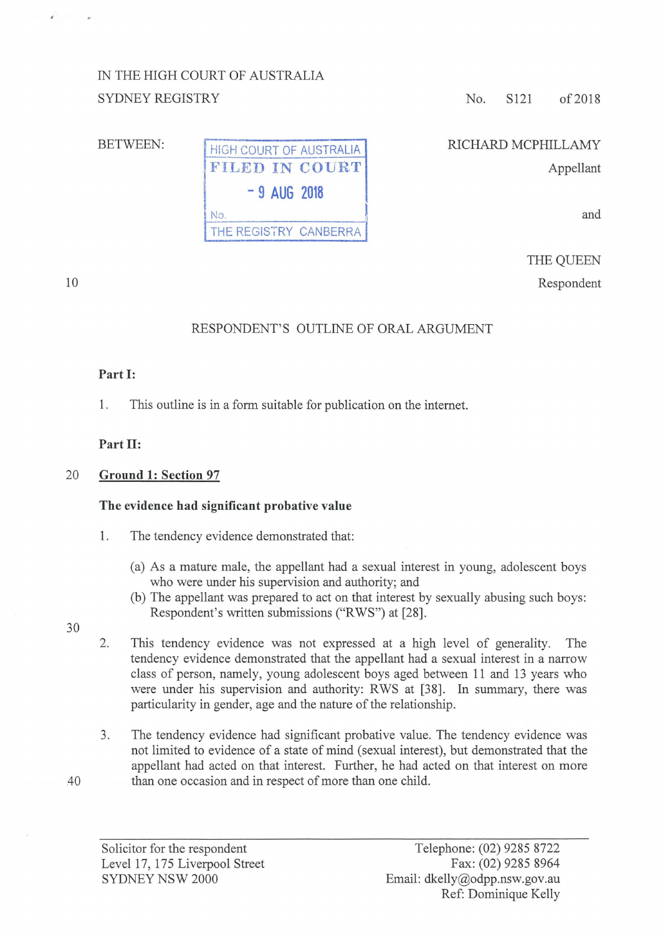## IN THE HIGH COURT OF AUSTRALIA SYDNEY REGISTRY

#### BETWEEN:

|     |               | <b>HIGH COURT OF AUSTRALIA</b><br>FILED IN COURT |
|-----|---------------|--------------------------------------------------|
|     | $-9$ AUG 2018 |                                                  |
| No. |               |                                                  |
|     |               | THE REGISTRY CANBERRA                            |

No. S121 of 2018

# RICHARD MCPHILLAMY

Appellant

and

THE QUEEN Respondent

### RESPONDENT'S OUTLINE OF ORAL ARGUMENT

#### **Part 1:**

10

1. This outline is in a form suitable for publication on the internet.

#### **Part 11:**

#### 20 **Ground 1: Section 97**

#### **The evidence had significant probative value**

- 1. The tendency evidence demonstrated that:
	- (a) As a mature male, the appellant had a sexual interest in young, adolescent boys who were under his supervision and authority; and
	- (b) The appellant was prepared to act on that interest by sexually abusing such boys: Respondent's written submissions ("RWS") at [28].
- 30
- 2. This tendency evidence was not expressed at a high level of generality. The tendency evidence demonstrated that the appellant had a sexual interest in a narrow class of person, namely, young adolescent boys aged between 11 and 13 years who were under his supervision and authority: RWS at [38]. In summary, there was particularity in gender, age and the nature of the relationship.
- 3. The tendency evidence had significant probative value. The tendency evidence was not limited to evidence of a state of mind (sexual interest), but demonstrated that the appellant had acted on that interest. Further, he had acted on that interest on more 40 than one occasion and in respect of more than one child.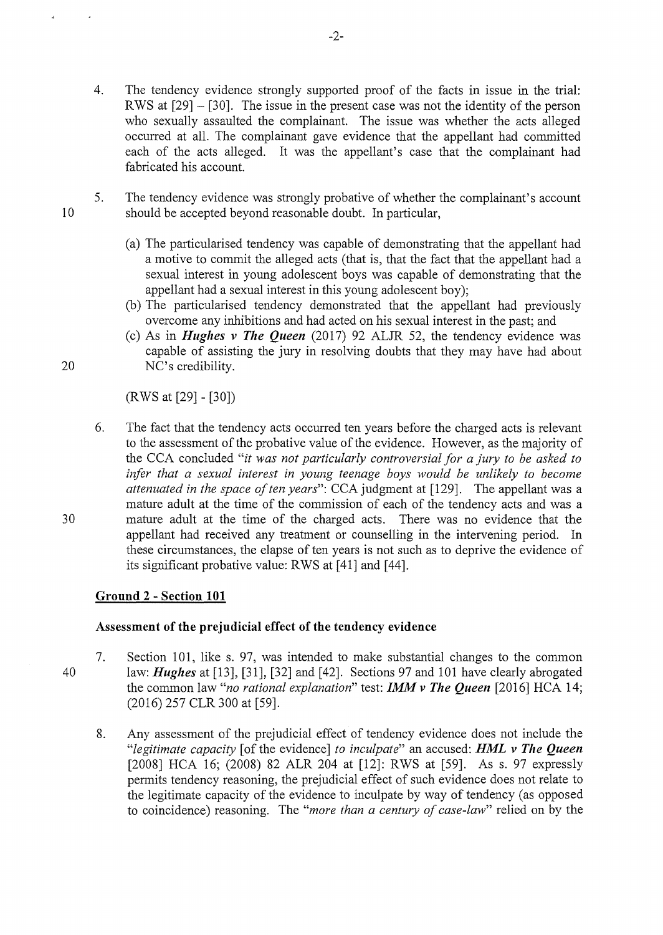- 4. The tendency evidence strongly supported proof of the facts in issue in the trial: RWS at [29]- [30]. The issue in the present case was not the identity of the person who sexually assaulted the complainant. The issue was whether the acts alleged occurred at all. The complainant gave evidence that the appellant had committed each of the acts alleged. It was the appellant's case that the complainant had fabricated his account.
- 5. The tendency evidence was strongly probative of whether the complainant's account should be accepted beyond reasonable doubt. In particular,
	- (a) The particularised tendency was capable of demonstrating that the appellant had a motive to commit the alleged acts (that is, that the fact that the appellant had a sexual interest in young adolescent boys was capable of demonstrating that the appellant had a sexual interest in this young adolescent boy);
	- (b) The particularised tendency demonstrated that the appellant had previously overcome any inhibitions and had acted on his sexual interest in the past; and
- (c) As in *Hughes v The Queen* (2017) 92 ALJR 52, the tendency evidence was capable of assisting the jury in resolving doubts that they may have had about 20 NC's credibility.

(RWS at [29]- [30])

6. The fact that the tendency acts occurred ten years before the charged acts is relevant to the assessment of the probative value of the evidence. However, as the majority of the CCA concluded *"it was not particularly controversial for a jury to be asked to*  infer that a sexual interest in young teenage boys would be unlikely to become *attenuated in the space of ten years*": CCA judgment at [129]. The appellant was a mature adult at the time of the commission of each of the tendency acts and was a 30 mature adult at the time of the charged acts. There was no evidence that the appellant had received any treatment or counselling in the intervening period. In these circumstances, the elapse of ten years is not such as to deprive the evidence of its significant probative value: RWS at [41] and [44].

#### **Ground 2 -Section 101**

#### **Assessment of the prejudicial effect of the tendency evidence**

- 40 7. Section 101, like s. 97, was intended to make substantial changes to the common law: *Hughes* at [13], [31], [32] and [42]. Sections 97 and 101 have clearly abrogated the common law *"no rational explanation"* test: *IMM v The Queen* [2016] HCA 14; (2016) 257 CLR 300 at [59].
	- 8. Any assessment of the prejudicial effect of tendency evidence does not include the *"legitimate capacity* [of the evidence] *to inculpate"* an accused: *HML v The Queen*  [2008] HCA 16; (2008) 82 ALR 204 at [12]: RWS at [59]. As s. 97 expressly permits tendency reasoning, the prejudicial effect of such evidence does not relate to the legitimate capacity of the evidence to inculpate by way of tendency (as opposed to coincidence) reasoning. The *"more than a century of case-law"* relied on by the

10